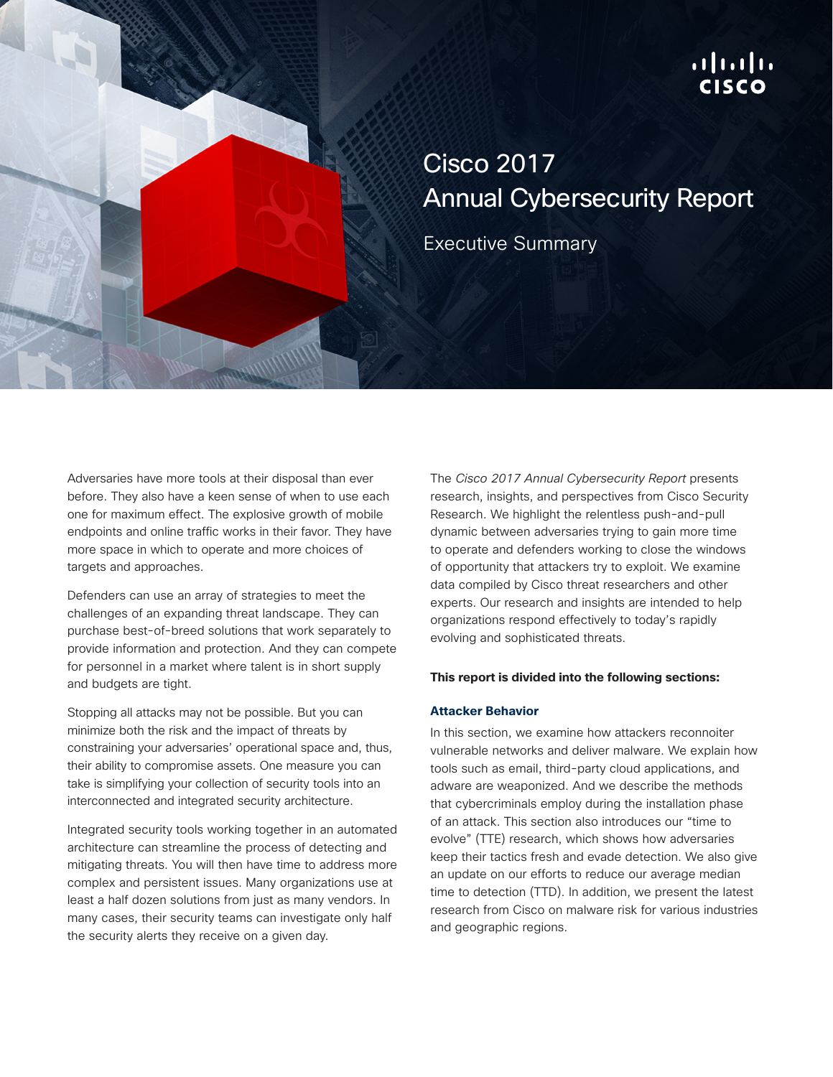## ahah. **CISCO**

# Cisco 2017 Annual Cybersecurity Report

Executive Summary

Adversaries have more tools at their disposal than ever before. They also have a keen sense of when to use each one for maximum effect. The explosive growth of mobile endpoints and online traffic works in their favor. They have more space in which to operate and more choices of targets and approaches.

Defenders can use an array of strategies to meet the challenges of an expanding threat landscape. They can purchase best-of-breed solutions that work separately to provide information and protection. And they can compete for personnel in a market where talent is in short supply and budgets are tight.

Stopping all attacks may not be possible. But you can minimize both the risk and the impact of threats by constraining your adversaries' operational space and, thus, their ability to compromise assets. One measure you can take is simplifying your collection of security tools into an interconnected and integrated security architecture.

Integrated security tools working together in an automated architecture can streamline the process of detecting and mitigating threats. You will then have time to address more complex and persistent issues. Many organizations use at least a half dozen solutions from just as many vendors. In many cases, their security teams can investigate only half the security alerts they receive on a given day.

The *Cisco 2017 Annual Cybersecurity Report* presents research, insights, and perspectives from Cisco Security Research. We highlight the relentless push-and-pull dynamic between adversaries trying to gain more time to operate and defenders working to close the windows of opportunity that attackers try to exploit. We examine data compiled by Cisco threat researchers and other experts. Our research and insights are intended to help organizations respond effectively to today's rapidly evolving and sophisticated threats.

#### **This report is divided into the following sections:**

### **Attacker Behavior**

In this section, we examine how attackers reconnoiter vulnerable networks and deliver malware. We explain how tools such as email, third-party cloud applications, and adware are weaponized. And we describe the methods that cybercriminals employ during the installation phase of an attack. This section also introduces our "time to evolve" (TTE) research, which shows how adversaries keep their tactics fresh and evade detection. We also give an update on our efforts to reduce our average median time to detection (TTD). In addition, we present the latest research from Cisco on malware risk for various industries and geographic regions.